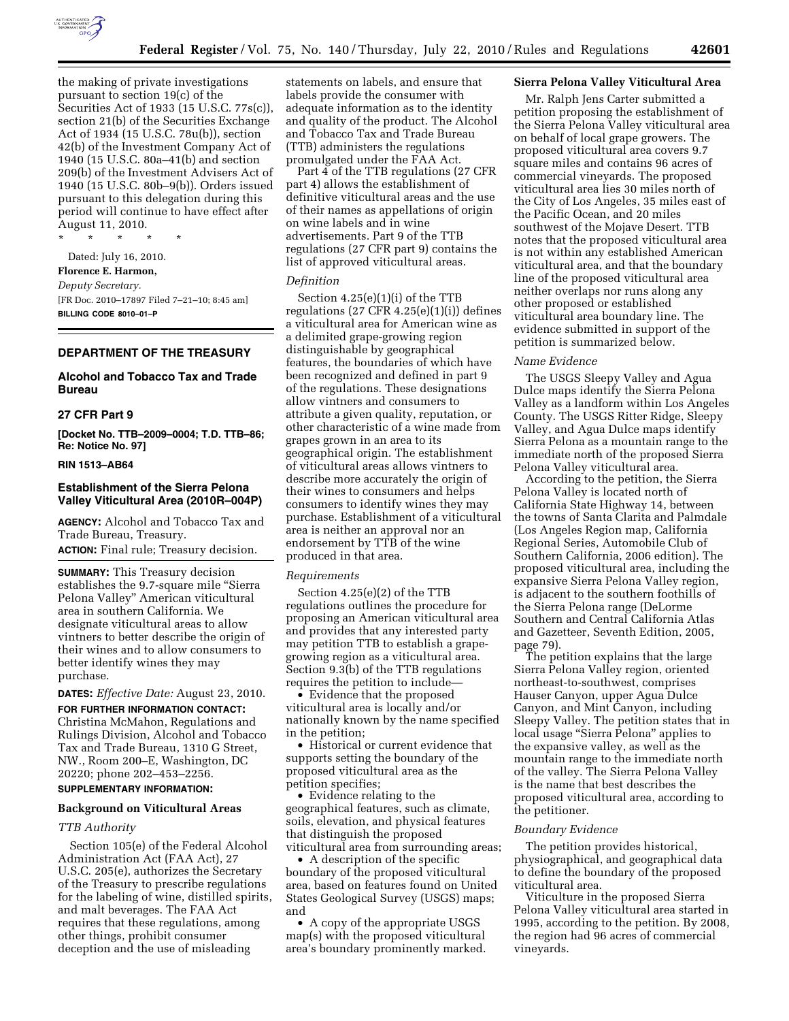

the making of private investigations pursuant to section 19(c) of the Securities Act of 1933 (15 U.S.C. 77s(c)), section 21(b) of the Securities Exchange Act of 1934 (15 U.S.C. 78u(b)), section 42(b) of the Investment Company Act of 1940 (15 U.S.C. 80a–41(b) and section 209(b) of the Investment Advisers Act of 1940 (15 U.S.C. 80b–9(b)). Orders issued pursuant to this delegation during this period will continue to have effect after August 11, 2010.

\* \* \* \* \*

Dated: July 16, 2010. **Florence E. Harmon,**  *Deputy Secretary.*  [FR Doc. 2010–17897 Filed 7–21–10; 8:45 am] **BILLING CODE 8010–01–P** 

## **DEPARTMENT OF THE TREASURY**

## **Alcohol and Tobacco Tax and Trade Bureau**

#### **27 CFR Part 9**

**[Docket No. TTB–2009–0004; T.D. TTB–86; Re: Notice No. 97]** 

### **RIN 1513–AB64**

## **Establishment of the Sierra Pelona Valley Viticultural Area (2010R–004P)**

**AGENCY:** Alcohol and Tobacco Tax and Trade Bureau, Treasury.

**ACTION:** Final rule; Treasury decision.

**SUMMARY:** This Treasury decision establishes the 9.7-square mile ''Sierra Pelona Valley'' American viticultural area in southern California. We designate viticultural areas to allow vintners to better describe the origin of their wines and to allow consumers to better identify wines they may purchase.

**DATES:** *Effective Date:* August 23, 2010.

**FOR FURTHER INFORMATION CONTACT:**  Christina McMahon, Regulations and Rulings Division, Alcohol and Tobacco Tax and Trade Bureau, 1310 G Street, NW., Room 200–E, Washington, DC 20220; phone 202–453–2256.

# **SUPPLEMENTARY INFORMATION:**

# **Background on Viticultural Areas**

#### *TTB Authority*

Section 105(e) of the Federal Alcohol Administration Act (FAA Act), 27 U.S.C. 205(e), authorizes the Secretary of the Treasury to prescribe regulations for the labeling of wine, distilled spirits, and malt beverages. The FAA Act requires that these regulations, among other things, prohibit consumer deception and the use of misleading

statements on labels, and ensure that labels provide the consumer with adequate information as to the identity and quality of the product. The Alcohol and Tobacco Tax and Trade Bureau (TTB) administers the regulations promulgated under the FAA Act.

Part 4 of the TTB regulations (27 CFR part 4) allows the establishment of definitive viticultural areas and the use of their names as appellations of origin on wine labels and in wine advertisements. Part 9 of the TTB regulations (27 CFR part 9) contains the list of approved viticultural areas.

## *Definition*

Section 4.25(e)(1)(i) of the TTB regulations (27 CFR  $4.25(e)(1)(i)$ ) defines a viticultural area for American wine as a delimited grape-growing region distinguishable by geographical features, the boundaries of which have been recognized and defined in part 9 of the regulations. These designations allow vintners and consumers to attribute a given quality, reputation, or other characteristic of a wine made from grapes grown in an area to its geographical origin. The establishment of viticultural areas allows vintners to describe more accurately the origin of their wines to consumers and helps consumers to identify wines they may purchase. Establishment of a viticultural area is neither an approval nor an endorsement by TTB of the wine produced in that area.

#### *Requirements*

Section 4.25(e)(2) of the TTB regulations outlines the procedure for proposing an American viticultural area and provides that any interested party may petition TTB to establish a grapegrowing region as a viticultural area. Section 9.3(b) of the TTB regulations requires the petition to include—

• Evidence that the proposed viticultural area is locally and/or nationally known by the name specified in the petition;

• Historical or current evidence that supports setting the boundary of the proposed viticultural area as the petition specifies;

• Evidence relating to the geographical features, such as climate, soils, elevation, and physical features that distinguish the proposed viticultural area from surrounding areas;

• A description of the specific boundary of the proposed viticultural area, based on features found on United States Geological Survey (USGS) maps; and

• A copy of the appropriate USGS map(s) with the proposed viticultural area's boundary prominently marked.

# **Sierra Pelona Valley Viticultural Area**

Mr. Ralph Jens Carter submitted a petition proposing the establishment of the Sierra Pelona Valley viticultural area on behalf of local grape growers. The proposed viticultural area covers 9.7 square miles and contains 96 acres of commercial vineyards. The proposed viticultural area lies 30 miles north of the City of Los Angeles, 35 miles east of the Pacific Ocean, and 20 miles southwest of the Mojave Desert. TTB notes that the proposed viticultural area is not within any established American viticultural area, and that the boundary line of the proposed viticultural area neither overlaps nor runs along any other proposed or established viticultural area boundary line. The evidence submitted in support of the petition is summarized below.

## *Name Evidence*

The USGS Sleepy Valley and Agua Dulce maps identify the Sierra Pelona Valley as a landform within Los Angeles County. The USGS Ritter Ridge, Sleepy Valley, and Agua Dulce maps identify Sierra Pelona as a mountain range to the immediate north of the proposed Sierra Pelona Valley viticultural area.

According to the petition, the Sierra Pelona Valley is located north of California State Highway 14, between the towns of Santa Clarita and Palmdale (Los Angeles Region map, California Regional Series, Automobile Club of Southern California, 2006 edition). The proposed viticultural area, including the expansive Sierra Pelona Valley region, is adjacent to the southern foothills of the Sierra Pelona range (DeLorme Southern and Central California Atlas and Gazetteer, Seventh Edition, 2005, page 79).

The petition explains that the large Sierra Pelona Valley region, oriented northeast-to-southwest, comprises Hauser Canyon, upper Agua Dulce Canyon, and Mint Canyon, including Sleepy Valley. The petition states that in local usage ''Sierra Pelona'' applies to the expansive valley, as well as the mountain range to the immediate north of the valley. The Sierra Pelona Valley is the name that best describes the proposed viticultural area, according to the petitioner.

#### *Boundary Evidence*

The petition provides historical, physiographical, and geographical data to define the boundary of the proposed viticultural area.

Viticulture in the proposed Sierra Pelona Valley viticultural area started in 1995, according to the petition. By 2008, the region had 96 acres of commercial vineyards.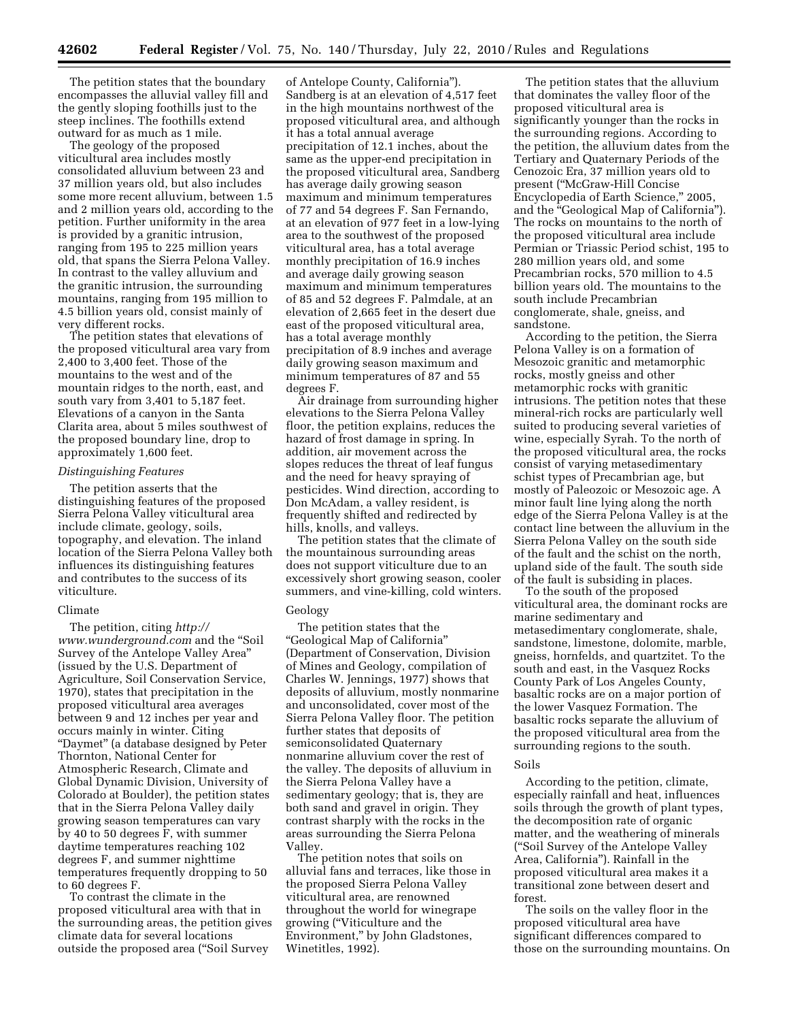The petition states that the boundary encompasses the alluvial valley fill and the gently sloping foothills just to the steep inclines. The foothills extend outward for as much as 1 mile.

The geology of the proposed viticultural area includes mostly consolidated alluvium between 23 and 37 million years old, but also includes some more recent alluvium, between 1.5 and 2 million years old, according to the petition. Further uniformity in the area is provided by a granitic intrusion, ranging from 195 to 225 million years old, that spans the Sierra Pelona Valley. In contrast to the valley alluvium and the granitic intrusion, the surrounding mountains, ranging from 195 million to 4.5 billion years old, consist mainly of very different rocks.

The petition states that elevations of the proposed viticultural area vary from 2,400 to 3,400 feet. Those of the mountains to the west and of the mountain ridges to the north, east, and south vary from 3,401 to 5,187 feet. Elevations of a canyon in the Santa Clarita area, about 5 miles southwest of the proposed boundary line, drop to approximately 1,600 feet.

#### *Distinguishing Features*

The petition asserts that the distinguishing features of the proposed Sierra Pelona Valley viticultural area include climate, geology, soils, topography, and elevation. The inland location of the Sierra Pelona Valley both influences its distinguishing features and contributes to the success of its viticulture.

## Climate

The petition, citing *[http://](http://www.wunderground.com) [www.wunderground.com](http://www.wunderground.com)* and the ''Soil Survey of the Antelope Valley Area'' (issued by the U.S. Department of Agriculture, Soil Conservation Service, 1970), states that precipitation in the proposed viticultural area averages between 9 and 12 inches per year and occurs mainly in winter. Citing ''Daymet'' (a database designed by Peter Thornton, National Center for Atmospheric Research, Climate and Global Dynamic Division, University of Colorado at Boulder), the petition states that in the Sierra Pelona Valley daily growing season temperatures can vary by 40 to 50 degrees F, with summer daytime temperatures reaching 102 degrees F, and summer nighttime temperatures frequently dropping to 50 to 60 degrees F.

To contrast the climate in the proposed viticultural area with that in the surrounding areas, the petition gives climate data for several locations outside the proposed area (''Soil Survey

of Antelope County, California''). Sandberg is at an elevation of 4,517 feet in the high mountains northwest of the proposed viticultural area, and although it has a total annual average precipitation of 12.1 inches, about the same as the upper-end precipitation in the proposed viticultural area, Sandberg has average daily growing season maximum and minimum temperatures of 77 and 54 degrees F. San Fernando, at an elevation of 977 feet in a low-lying area to the southwest of the proposed viticultural area, has a total average monthly precipitation of 16.9 inches and average daily growing season maximum and minimum temperatures of 85 and 52 degrees F. Palmdale, at an elevation of 2,665 feet in the desert due east of the proposed viticultural area, has a total average monthly precipitation of 8.9 inches and average daily growing season maximum and minimum temperatures of 87 and 55 degrees F.

Air drainage from surrounding higher elevations to the Sierra Pelona Valley floor, the petition explains, reduces the hazard of frost damage in spring. In addition, air movement across the slopes reduces the threat of leaf fungus and the need for heavy spraying of pesticides. Wind direction, according to Don McAdam, a valley resident, is frequently shifted and redirected by hills, knolls, and valleys.

The petition states that the climate of the mountainous surrounding areas does not support viticulture due to an excessively short growing season, cooler summers, and vine-killing, cold winters.

#### Geology

The petition states that the ''Geological Map of California'' (Department of Conservation, Division of Mines and Geology, compilation of Charles W. Jennings, 1977) shows that deposits of alluvium, mostly nonmarine and unconsolidated, cover most of the Sierra Pelona Valley floor. The petition further states that deposits of semiconsolidated Quaternary nonmarine alluvium cover the rest of the valley. The deposits of alluvium in the Sierra Pelona Valley have a sedimentary geology; that is, they are both sand and gravel in origin. They contrast sharply with the rocks in the areas surrounding the Sierra Pelona Valley.

The petition notes that soils on alluvial fans and terraces, like those in the proposed Sierra Pelona Valley viticultural area, are renowned throughout the world for winegrape growing (''Viticulture and the Environment,'' by John Gladstones, Winetitles, 1992).

The petition states that the alluvium that dominates the valley floor of the proposed viticultural area is significantly younger than the rocks in the surrounding regions. According to the petition, the alluvium dates from the Tertiary and Quaternary Periods of the Cenozoic Era, 37 million years old to present (''McGraw-Hill Concise Encyclopedia of Earth Science,'' 2005, and the "Geological Map of California"). The rocks on mountains to the north of the proposed viticultural area include Permian or Triassic Period schist, 195 to 280 million years old, and some Precambrian rocks, 570 million to 4.5 billion years old. The mountains to the south include Precambrian conglomerate, shale, gneiss, and sandstone.

According to the petition, the Sierra Pelona Valley is on a formation of Mesozoic granitic and metamorphic rocks, mostly gneiss and other metamorphic rocks with granitic intrusions. The petition notes that these mineral-rich rocks are particularly well suited to producing several varieties of wine, especially Syrah. To the north of the proposed viticultural area, the rocks consist of varying metasedimentary schist types of Precambrian age, but mostly of Paleozoic or Mesozoic age. A minor fault line lying along the north edge of the Sierra Pelona Valley is at the contact line between the alluvium in the Sierra Pelona Valley on the south side of the fault and the schist on the north, upland side of the fault. The south side of the fault is subsiding in places.

To the south of the proposed viticultural area, the dominant rocks are marine sedimentary and metasedimentary conglomerate, shale, sandstone, limestone, dolomite, marble, gneiss, hornfelds, and quartzitet. To the south and east, in the Vasquez Rocks County Park of Los Angeles County, basaltic rocks are on a major portion of the lower Vasquez Formation. The basaltic rocks separate the alluvium of the proposed viticultural area from the surrounding regions to the south.

#### Soils

According to the petition, climate, especially rainfall and heat, influences soils through the growth of plant types, the decomposition rate of organic matter, and the weathering of minerals (''Soil Survey of the Antelope Valley Area, California''). Rainfall in the proposed viticultural area makes it a transitional zone between desert and forest.

The soils on the valley floor in the proposed viticultural area have significant differences compared to those on the surrounding mountains. On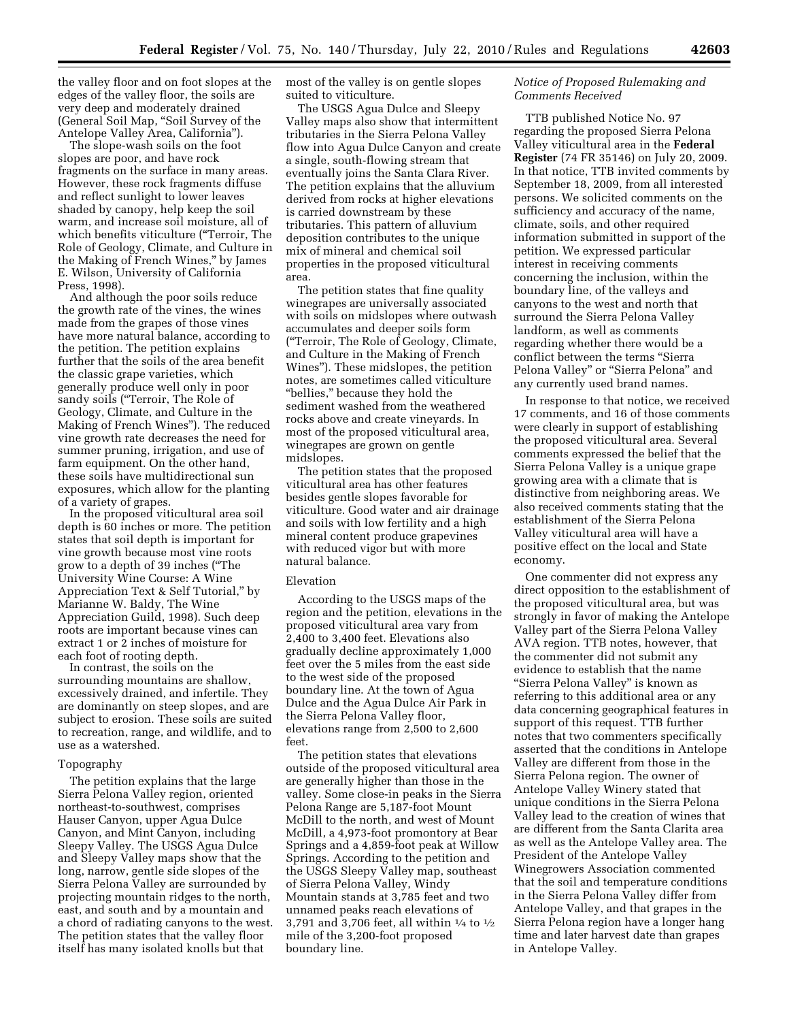the valley floor and on foot slopes at the edges of the valley floor, the soils are very deep and moderately drained (General Soil Map, ''Soil Survey of the Antelope Valley Area, California'').

The slope-wash soils on the foot slopes are poor, and have rock fragments on the surface in many areas. However, these rock fragments diffuse and reflect sunlight to lower leaves shaded by canopy, help keep the soil warm, and increase soil moisture, all of which benefits viticulture ("Terroir, The Role of Geology, Climate, and Culture in the Making of French Wines,'' by James E. Wilson, University of California Press, 1998).

And although the poor soils reduce the growth rate of the vines, the wines made from the grapes of those vines have more natural balance, according to the petition. The petition explains further that the soils of the area benefit the classic grape varieties, which generally produce well only in poor sandy soils ("Terroir, The Role of Geology, Climate, and Culture in the Making of French Wines''). The reduced vine growth rate decreases the need for summer pruning, irrigation, and use of farm equipment. On the other hand, these soils have multidirectional sun exposures, which allow for the planting of a variety of grapes.

In the proposed viticultural area soil depth is 60 inches or more. The petition states that soil depth is important for vine growth because most vine roots grow to a depth of 39 inches (''The University Wine Course: A Wine Appreciation Text & Self Tutorial,'' by Marianne W. Baldy, The Wine Appreciation Guild, 1998). Such deep roots are important because vines can extract 1 or 2 inches of moisture for each foot of rooting depth.

In contrast, the soils on the surrounding mountains are shallow, excessively drained, and infertile. They are dominantly on steep slopes, and are subject to erosion. These soils are suited to recreation, range, and wildlife, and to use as a watershed.

#### Topography

The petition explains that the large Sierra Pelona Valley region, oriented northeast-to-southwest, comprises Hauser Canyon, upper Agua Dulce Canyon, and Mint Canyon, including Sleepy Valley. The USGS Agua Dulce and Sleepy Valley maps show that the long, narrow, gentle side slopes of the Sierra Pelona Valley are surrounded by projecting mountain ridges to the north, east, and south and by a mountain and a chord of radiating canyons to the west. The petition states that the valley floor itself has many isolated knolls but that

most of the valley is on gentle slopes suited to viticulture.

The USGS Agua Dulce and Sleepy Valley maps also show that intermittent tributaries in the Sierra Pelona Valley flow into Agua Dulce Canyon and create a single, south-flowing stream that eventually joins the Santa Clara River. The petition explains that the alluvium derived from rocks at higher elevations is carried downstream by these tributaries. This pattern of alluvium deposition contributes to the unique mix of mineral and chemical soil properties in the proposed viticultural area.

The petition states that fine quality winegrapes are universally associated with soils on midslopes where outwash accumulates and deeper soils form (''Terroir, The Role of Geology, Climate, and Culture in the Making of French Wines''). These midslopes, the petition notes, are sometimes called viticulture ''bellies,'' because they hold the sediment washed from the weathered rocks above and create vineyards. In most of the proposed viticultural area, winegrapes are grown on gentle midslopes.

The petition states that the proposed viticultural area has other features besides gentle slopes favorable for viticulture. Good water and air drainage and soils with low fertility and a high mineral content produce grapevines with reduced vigor but with more natural balance.

#### Elevation

According to the USGS maps of the region and the petition, elevations in the proposed viticultural area vary from 2,400 to 3,400 feet. Elevations also gradually decline approximately 1,000 feet over the 5 miles from the east side to the west side of the proposed boundary line. At the town of Agua Dulce and the Agua Dulce Air Park in the Sierra Pelona Valley floor, elevations range from 2,500 to 2,600 feet.

The petition states that elevations outside of the proposed viticultural area are generally higher than those in the valley. Some close-in peaks in the Sierra Pelona Range are 5,187-foot Mount McDill to the north, and west of Mount McDill, a 4,973-foot promontory at Bear Springs and a 4,859-foot peak at Willow Springs. According to the petition and the USGS Sleepy Valley map, southeast of Sierra Pelona Valley, Windy Mountain stands at 3,785 feet and two unnamed peaks reach elevations of 3,791 and 3,706 feet, all within 1⁄4 to 1⁄2 mile of the 3,200-foot proposed boundary line.

## *Notice of Proposed Rulemaking and Comments Received*

TTB published Notice No. 97 regarding the proposed Sierra Pelona Valley viticultural area in the **Federal Register** (74 FR 35146) on July 20, 2009. In that notice, TTB invited comments by September 18, 2009, from all interested persons. We solicited comments on the sufficiency and accuracy of the name, climate, soils, and other required information submitted in support of the petition. We expressed particular interest in receiving comments concerning the inclusion, within the boundary line, of the valleys and canyons to the west and north that surround the Sierra Pelona Valley landform, as well as comments regarding whether there would be a conflict between the terms ''Sierra Pelona Valley" or "Sierra Pelona" and any currently used brand names.

In response to that notice, we received 17 comments, and 16 of those comments were clearly in support of establishing the proposed viticultural area. Several comments expressed the belief that the Sierra Pelona Valley is a unique grape growing area with a climate that is distinctive from neighboring areas. We also received comments stating that the establishment of the Sierra Pelona Valley viticultural area will have a positive effect on the local and State economy.

One commenter did not express any direct opposition to the establishment of the proposed viticultural area, but was strongly in favor of making the Antelope Valley part of the Sierra Pelona Valley AVA region. TTB notes, however, that the commenter did not submit any evidence to establish that the name ''Sierra Pelona Valley'' is known as referring to this additional area or any data concerning geographical features in support of this request. TTB further notes that two commenters specifically asserted that the conditions in Antelope Valley are different from those in the Sierra Pelona region. The owner of Antelope Valley Winery stated that unique conditions in the Sierra Pelona Valley lead to the creation of wines that are different from the Santa Clarita area as well as the Antelope Valley area. The President of the Antelope Valley Winegrowers Association commented that the soil and temperature conditions in the Sierra Pelona Valley differ from Antelope Valley, and that grapes in the Sierra Pelona region have a longer hang time and later harvest date than grapes in Antelope Valley.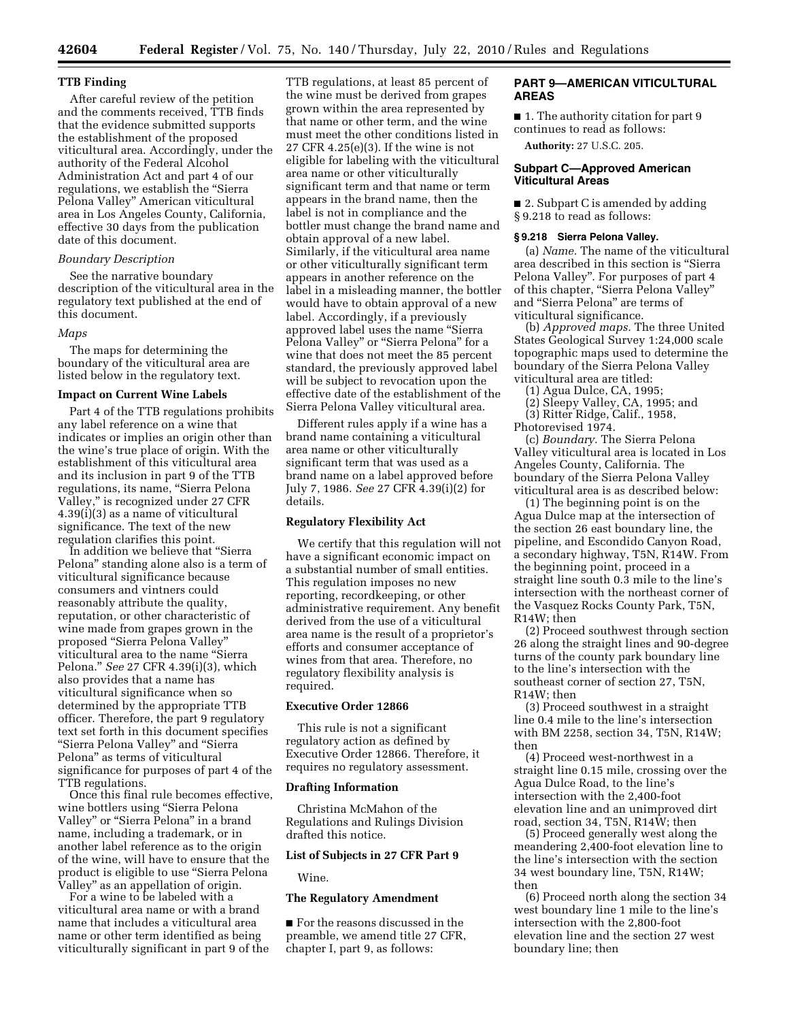#### **TTB Finding**

After careful review of the petition and the comments received, TTB finds that the evidence submitted supports the establishment of the proposed viticultural area. Accordingly, under the authority of the Federal Alcohol Administration Act and part 4 of our regulations, we establish the "Sierra Pelona Valley'' American viticultural area in Los Angeles County, California, effective 30 days from the publication date of this document.

## *Boundary Description*

See the narrative boundary description of the viticultural area in the regulatory text published at the end of this document.

## *Maps*

The maps for determining the boundary of the viticultural area are listed below in the regulatory text.

# **Impact on Current Wine Labels**

Part 4 of the TTB regulations prohibits any label reference on a wine that indicates or implies an origin other than the wine's true place of origin. With the establishment of this viticultural area and its inclusion in part 9 of the TTB regulations, its name, ''Sierra Pelona Valley,'' is recognized under 27 CFR 4.39(i)(3) as a name of viticultural significance. The text of the new regulation clarifies this point.

In addition we believe that ''Sierra Pelona'' standing alone also is a term of viticultural significance because consumers and vintners could reasonably attribute the quality, reputation, or other characteristic of wine made from grapes grown in the proposed ''Sierra Pelona Valley'' viticultural area to the name ''Sierra Pelona.'' *See* 27 CFR 4.39(i)(3), which also provides that a name has viticultural significance when so determined by the appropriate TTB officer. Therefore, the part 9 regulatory text set forth in this document specifies ''Sierra Pelona Valley'' and ''Sierra Pelona'' as terms of viticultural significance for purposes of part 4 of the TTB regulations.

Once this final rule becomes effective, wine bottlers using ''Sierra Pelona Valley" or "Sierra Pelona" in a brand name, including a trademark, or in another label reference as to the origin of the wine, will have to ensure that the product is eligible to use "Sierra Pelona Valley'' as an appellation of origin.

For a wine to be labeled with a viticultural area name or with a brand name that includes a viticultural area name or other term identified as being viticulturally significant in part 9 of the

TTB regulations, at least 85 percent of the wine must be derived from grapes grown within the area represented by that name or other term, and the wine must meet the other conditions listed in 27 CFR 4.25(e)(3). If the wine is not eligible for labeling with the viticultural area name or other viticulturally significant term and that name or term appears in the brand name, then the label is not in compliance and the bottler must change the brand name and obtain approval of a new label. Similarly, if the viticultural area name or other viticulturally significant term appears in another reference on the label in a misleading manner, the bottler would have to obtain approval of a new label. Accordingly, if a previously approved label uses the name ''Sierra Pelona Valley" or "Sierra Pelona" for a wine that does not meet the 85 percent standard, the previously approved label will be subject to revocation upon the effective date of the establishment of the Sierra Pelona Valley viticultural area.

Different rules apply if a wine has a brand name containing a viticultural area name or other viticulturally significant term that was used as a brand name on a label approved before July 7, 1986. *See* 27 CFR 4.39(i)(2) for details.

### **Regulatory Flexibility Act**

We certify that this regulation will not have a significant economic impact on a substantial number of small entities. This regulation imposes no new reporting, recordkeeping, or other administrative requirement. Any benefit derived from the use of a viticultural area name is the result of a proprietor's efforts and consumer acceptance of wines from that area. Therefore, no regulatory flexibility analysis is required.

## **Executive Order 12866**

This rule is not a significant regulatory action as defined by Executive Order 12866. Therefore, it requires no regulatory assessment.

#### **Drafting Information**

Christina McMahon of the Regulations and Rulings Division drafted this notice.

### **List of Subjects in 27 CFR Part 9**

Wine.

#### **The Regulatory Amendment**

■ For the reasons discussed in the preamble, we amend title 27 CFR, chapter I, part 9, as follows:

# **PART 9—AMERICAN VITICULTURAL AREAS**

■ 1. The authority citation for part 9 continues to read as follows: **Authority:** 27 U.S.C. 205.

### **Subpart C—Approved American Viticultural Areas**

■ 2. Subpart C is amended by adding § 9.218 to read as follows:

#### **§ 9.218 Sierra Pelona Valley.**

(a) *Name.* The name of the viticultural area described in this section is ''Sierra Pelona Valley''. For purposes of part 4 of this chapter, "Sierra Pelona Valley" and "Sierra Pelona" are terms of viticultural significance.

(b) *Approved maps.* The three United States Geological Survey 1:24,000 scale topographic maps used to determine the boundary of the Sierra Pelona Valley viticultural area are titled:

(1) Agua Dulce, CA, 1995;

- (2) Sleepy Valley, CA, 1995; and
- (3) Ritter Ridge, Calif., 1958,

Photorevised 1974.

(c) *Boundary.* The Sierra Pelona Valley viticultural area is located in Los Angeles County, California. The boundary of the Sierra Pelona Valley viticultural area is as described below:

(1) The beginning point is on the Agua Dulce map at the intersection of the section 26 east boundary line, the pipeline, and Escondido Canyon Road, a secondary highway, T5N, R14W. From the beginning point, proceed in a straight line south 0.3 mile to the line's intersection with the northeast corner of the Vasquez Rocks County Park, T5N, R14W; then

(2) Proceed southwest through section 26 along the straight lines and 90-degree turns of the county park boundary line to the line's intersection with the southeast corner of section 27, T5N, R14W; then

(3) Proceed southwest in a straight line 0.4 mile to the line's intersection with BM 2258, section 34, T5N, R14W; then

(4) Proceed west-northwest in a straight line 0.15 mile, crossing over the Agua Dulce Road, to the line's intersection with the 2,400-foot elevation line and an unimproved dirt road, section 34, T5N, R14W; then

(5) Proceed generally west along the meandering 2,400-foot elevation line to the line's intersection with the section 34 west boundary line, T5N, R14W; then

(6) Proceed north along the section 34 west boundary line 1 mile to the line's intersection with the 2,800-foot elevation line and the section 27 west boundary line; then